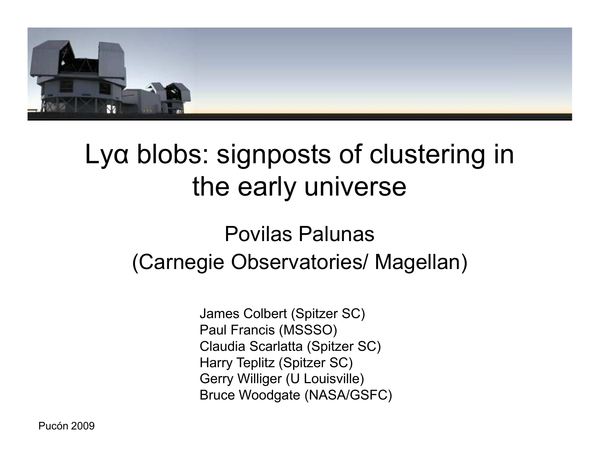

## Lyα blobs: signposts of clustering in the early universe

#### Povilas Palunas (Carnegie Observatories/ Magellan)

James Colbert (Spitzer SC) Paul Francis (MSSSO) Claudia Scarlatta (Spitzer SC) Harry Teplitz (Spitzer SC) Gerry Williger (U Louisville) Bruce Woodgate (NASA/GSFC)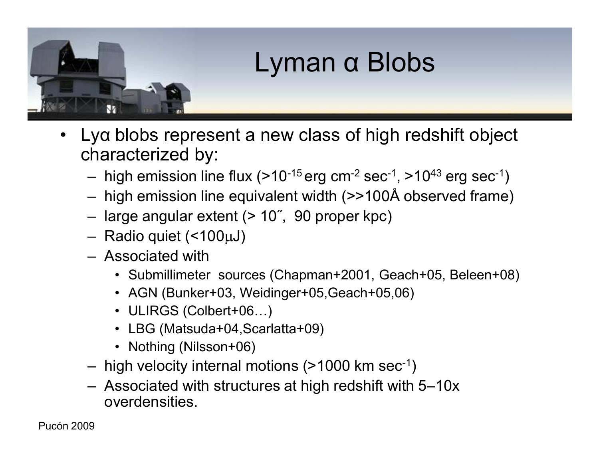

- Lyα blobs represent a new class of high redshift object characterized by:
	- high emission line flux  $(>10^{-15} \text{ erg cm}^{-2} \text{ sec}^{-1}, >10^{43} \text{ erg sec}^{-1})$
	- high emission line equivalent width (>>100Å observed frame)
	- large angular extent (> 10˝, 90 proper kpc)
	- $-$  Radio quiet (<100 $\mu$ J)
	- Associated with
		- Submillimeter sources (Chapman+2001, Geach+05, Beleen+08)
		- AGN (Bunker+03, Weidinger+05,Geach+05,06)
		- ULIRGS (Colbert+06...)
		- LBG (Matsuda+04,Scarlatta+09)
		- Nothing (Nilsson+06)
	- $-$  high velocity internal motions (>1000 km sec<sup>-1</sup>)
	- Associated with structures at high redshift with 5–10x overdensities.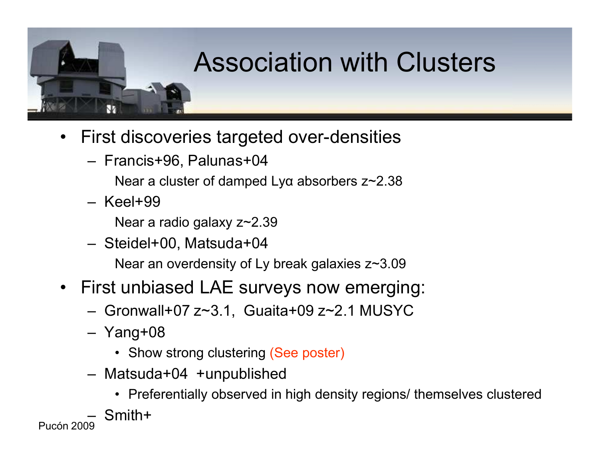## Association with Clusters

- First discoveries targeted over-densities
	- Francis+96, Palunas+04

Near a cluster of damped Lyα absorbers z~2.38

– Keel+99

Near a radio galaxy z~2.39

- Steidel+00, Matsuda+04 Near an overdensity of Ly break galaxies z~3.09
- First unbiased LAE surveys now emerging:
	- Gronwall+07 z~3.1, Guaita+09 z~2.1 MUSYC
	- Yang+08
		- Show strong clustering (See poster)
	- Matsuda+04 +unpublished
		- Preferentially observed in high density regions/ themselves clustered
- Pucón 2009 – Smith+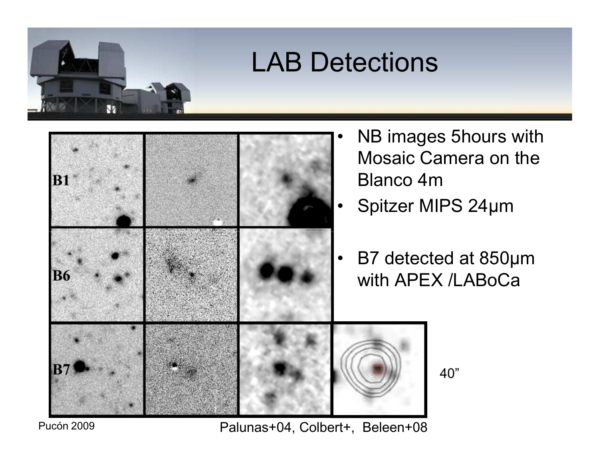



NB images 5hours with Mosaic Camera on the Blanco 4m

- Spitzer MIPS 24µm
- B7 detected at 850µm with APEX /LABoCa

40"

Pucón 2009

Ŵ

Palunas+04, Colbert+, Beleen+08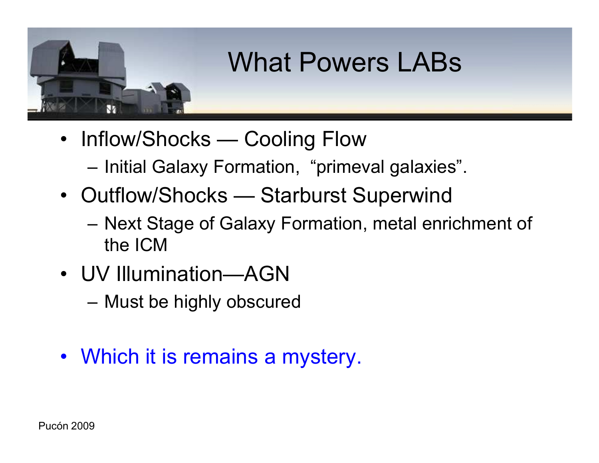# What Powers LABs

- Inflow/Shocks Cooling Flow
	- Initial Galaxy Formation, "primeval galaxies".
- Outflow/Shocks Starburst Superwind
	- Next Stage of Galaxy Formation, metal enrichment of the ICM
- UV Illumination—AGN
	- Must be highly obscured
- Which it is remains a mystery.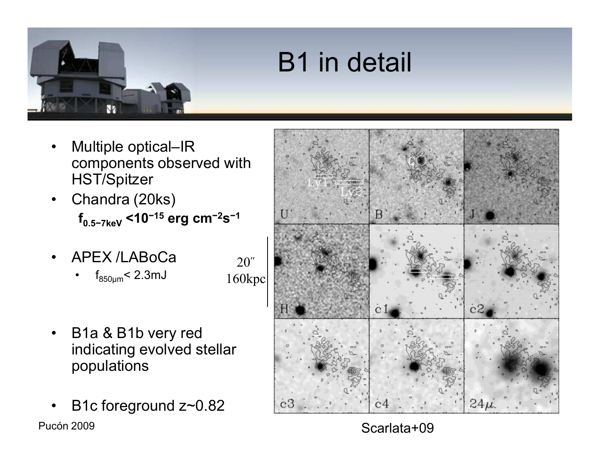# B1 in detail

- Multiple optical–IR components observed with HST/Spitzer
- Chandra (20ks) **f0.5−7keV <10−15 erg cm−2s −1**
- APEX /LABoCa

V

 $f_{850\mu m}$  < 2.3mJ

20˝ 160kpc

- B1a & B1b very red indicating evolved stellar populations
- Pucón 2009 B1c foreground z~0.82



Scarlata+09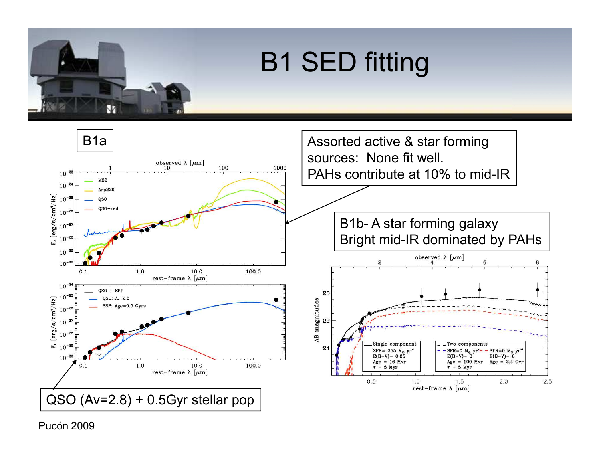

Bright mid-IR dominated by PAHs

observed  $\lambda~[\mu\mathrm{m}]$  4

6

 $SFR = 0$  M<sub>o</sub> yr

 $Age = 2.4 Gyr$ 

2.0

 $E(B-V) = 0$ 

\_ Two components

 $Age = 100 Myr$ 

SFR=0 M<sub>o</sub> yr<sup>-1</sup>

 $E(B-V) = 0$ 

 $\tau = 5$  Myr

1.5

rest-frame  $\lambda$  [ $\mu$ m]

8

 $2.5$ 

 $\mathbf{c}$ 

Single component

 $1.0$ 

SFR= 355  $M_{\odot}$  yr<sup>-1</sup>

 $E(B-V) = 0.65$ 

 $Age = 16 Myr$ 

 $= 5 Myr$ 

 $0.5$ 

20

AB magnitudes<br>20<br>20<br>20

24



Pucón 2009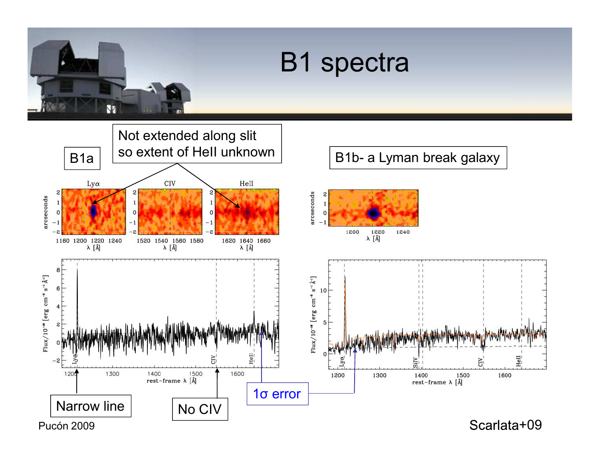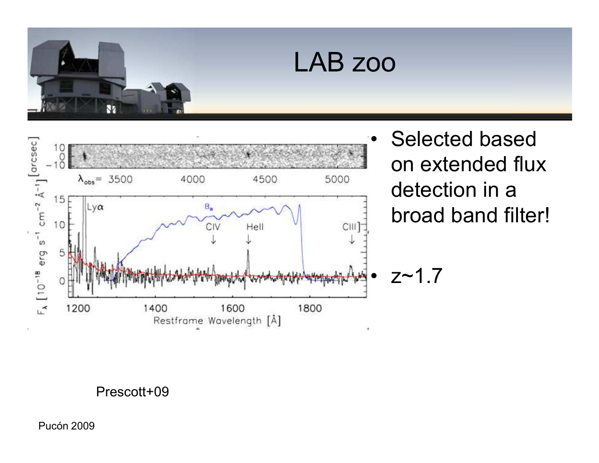



**Selected based** on extended flux detection in a broad band filter!

 $z - 1.7$ 

Prescott+09

**Pucón 2009**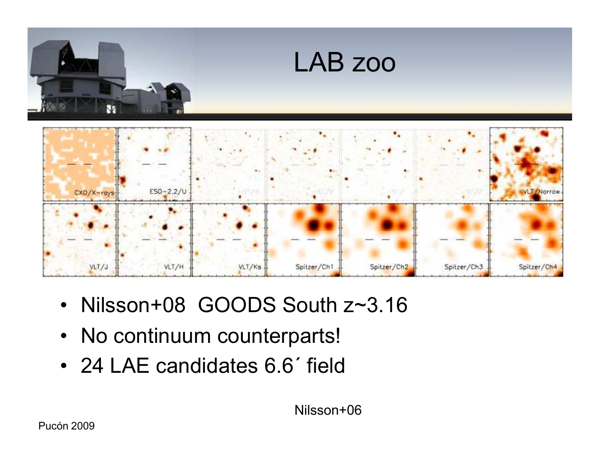

- · Nilsson+08 GOODS South z~3.16
- No continuum counterparts!
- 24 LAE candidates 6.6' field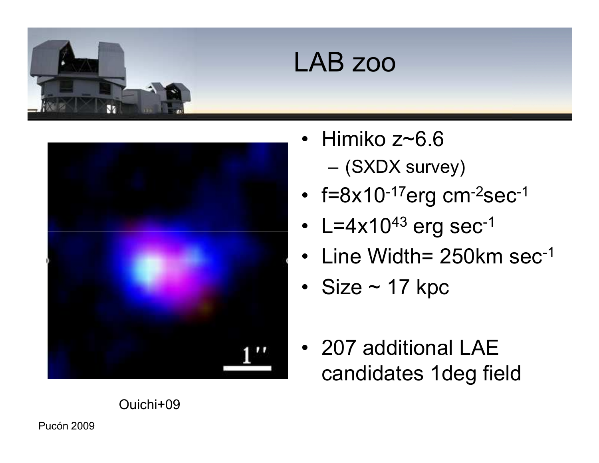

#### LAB zoo



- Himiko z~6.6 – (SXDX survey)
- $f=8x10^{-17}$ erg cm $^{-2}$ sec $^{-1}$
- L=4x10 $43$  erg sec $^{-1}$
- Line Width= 250km sec-1
- Size  $\sim$  17 kpc
- 207 additional LAE candidates 1deg field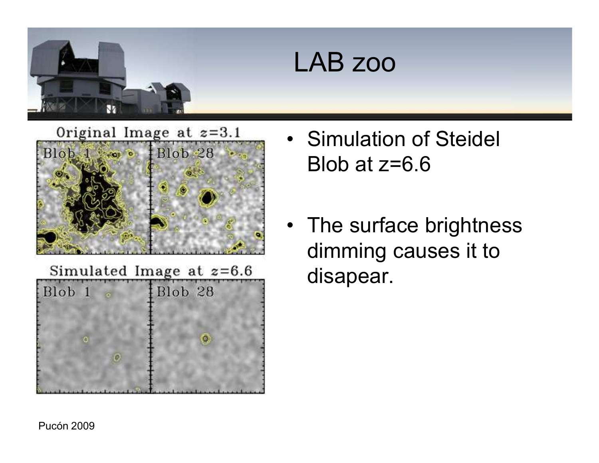



Simulated Image at  $z=6.6$ Blob<sub>28</sub> Blob 1  $\sqrt{a}$ 

- Simulation of Steidel Blob at  $z=6.6$
- The surface brightness dimming causes it to disapear.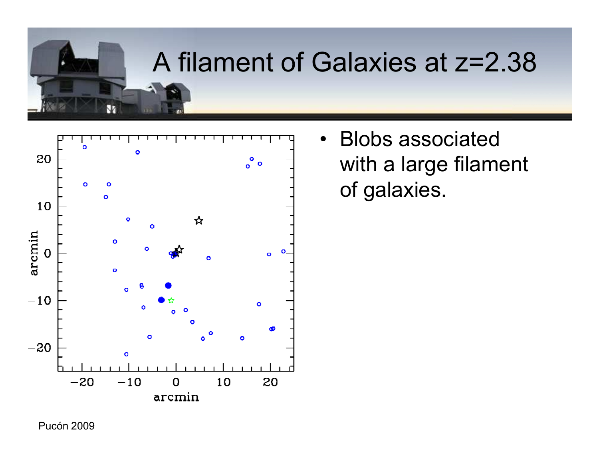### A filament of Galaxies at z=2.38



Ñ

• Blobs associated with a large filament of galaxies.

Pucón 2009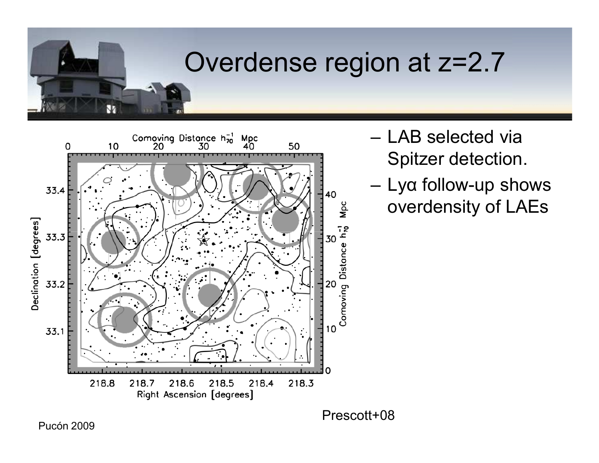# Overdense region at z=2.7



- LAB selected via Spitzer detection.
- Lya follow-up shows overdensity of LAEs

Prescott+08

**Pucón 2009** 

Ŵ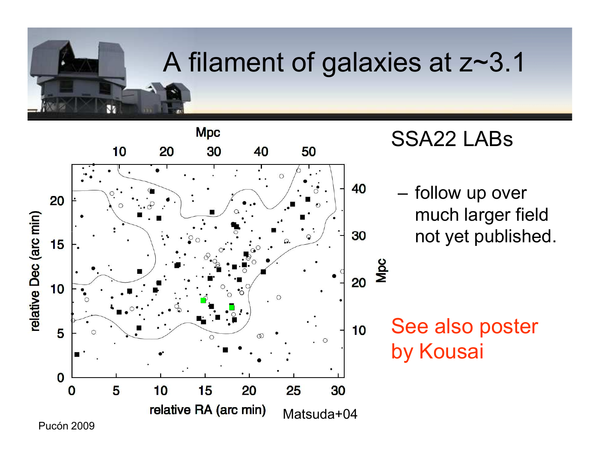## A filament of galaxies at z~3.1



#### SSA22 LABs

– follow up over much larger field not yet published.

See also poster by Kousai

Pucón 2009

ÑΖ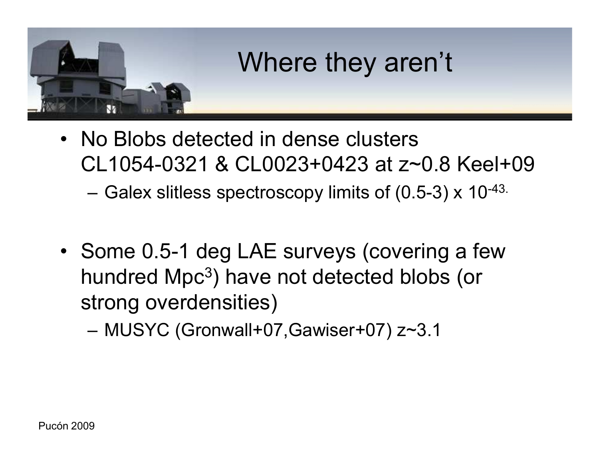

- No Blobs detected in dense clusters CL1054-0321 & CL0023+0423 at z~0.8 Keel+09
	- Galex slitless spectroscopy limits of (0.5-3) x 10-43.
- Some 0.5-1 deg LAE surveys (covering a few hundred Mpc<sup>3</sup>) have not detected blobs (or strong overdensities)

– MUSYC (Gronwall+07,Gawiser+07) z~3.1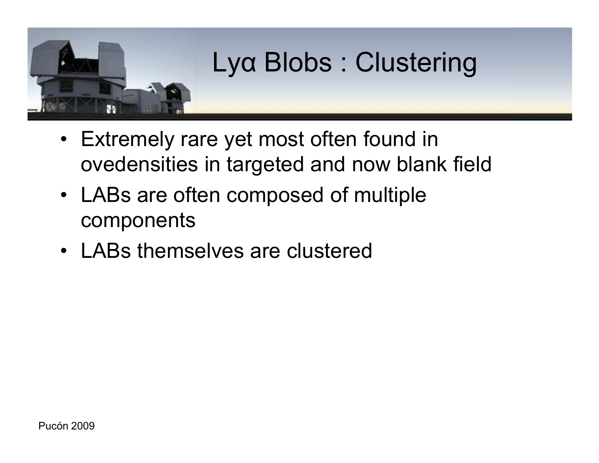

- Extremely rare yet most often found in ovedensities in targeted and now blank field
- LABs are often composed of multiple components
- LABs themselves are clustered